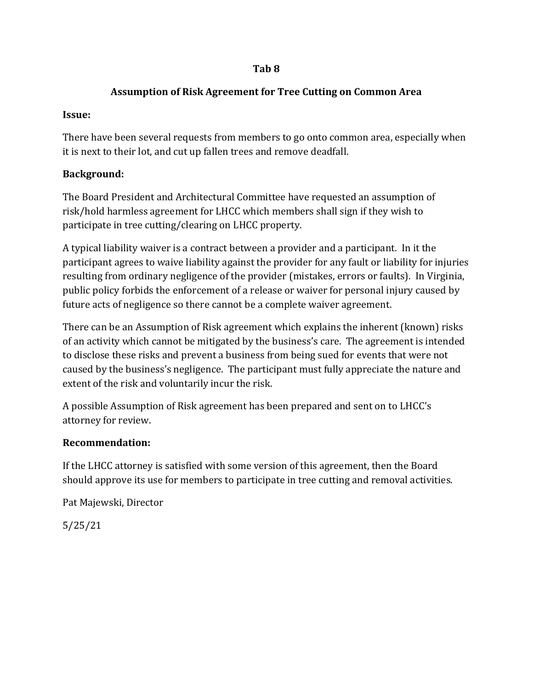### **Tab 8**

## **Assumption of Risk Agreement for Tree Cutting on Common Area**

## **Issue:**

There have been several requests from members to go onto common area, especially when it is next to their lot, and cut up fallen trees and remove deadfall.

# **Background:**

The Board President and Architectural Committee have requested an assumption of risk/hold harmless agreement for LHCC which members shall sign if they wish to participate in tree cutting/clearing on LHCC property.

A typical liability waiver is a contract between a provider and a participant. In it the participant agrees to waive liability against the provider for any fault or liability for injuries resulting from ordinary negligence of the provider (mistakes, errors or faults). In Virginia, public policy forbids the enforcement of a release or waiver for personal injury caused by future acts of negligence so there cannot be a complete waiver agreement.

There can be an Assumption of Risk agreement which explains the inherent (known) risks of an activity which cannot be mitigated by the business's care. The agreement is intended to disclose these risks and prevent a business from being sued for events that were not caused by the business's negligence. The participant must fully appreciate the nature and extent of the risk and voluntarily incur the risk.

A possible Assumption of Risk agreement has been prepared and sent on to LHCC's attorney for review.

## **Recommendation:**

If the LHCC attorney is satisfied with some version of this agreement, then the Board should approve its use for members to participate in tree cutting and removal activities.

Pat Majewski, Director

5/25/21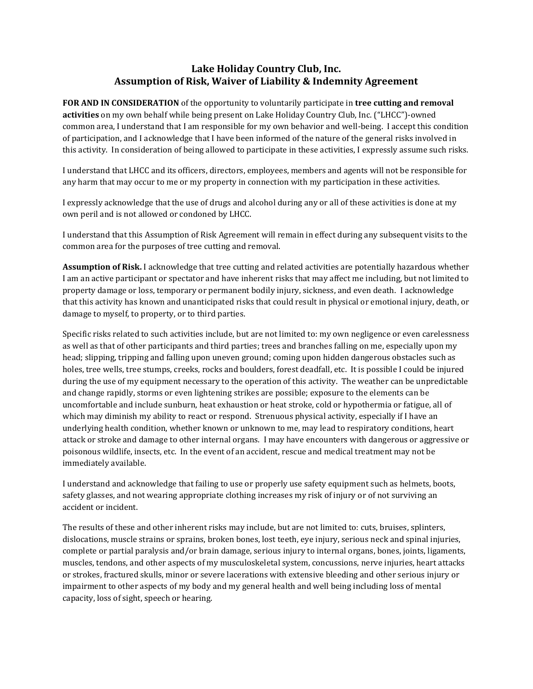#### **Lake Holiday Country Club, Inc. Assumption of Risk, Waiver of Liability & Indemnity Agreement**

**FOR AND IN CONSIDERATION** of the opportunity to voluntarily participate in **tree cutting and removal activities** on my own behalf while being present on Lake Holiday Country Club, Inc. ("LHCC")-owned common area, I understand that I am responsible for my own behavior and well-being. I accept this condition of participation, and I acknowledge that I have been informed of the nature of the general risks involved in this activity. In consideration of being allowed to participate in these activities, I expressly assume such risks.

I understand that LHCC and its officers, directors, employees, members and agents will not be responsible for any harm that may occur to me or my property in connection with my participation in these activities.

I expressly acknowledge that the use of drugs and alcohol during any or all of these activities is done at my own peril and is not allowed or condoned by LHCC.

I understand that this Assumption of Risk Agreement will remain in effect during any subsequent visits to the common area for the purposes of tree cutting and removal.

**Assumption of Risk.** I acknowledge that tree cutting and related activities are potentially hazardous whether I am an active participant or spectator and have inherent risks that may affect me including, but not limited to property damage or loss, temporary or permanent bodily injury, sickness, and even death. I acknowledge that this activity has known and unanticipated risks that could result in physical or emotional injury, death, or damage to myself, to property, or to third parties.

Specific risks related to such activities include, but are not limited to: my own negligence or even carelessness as well as that of other participants and third parties; trees and branches falling on me, especially upon my head; slipping, tripping and falling upon uneven ground; coming upon hidden dangerous obstacles such as holes, tree wells, tree stumps, creeks, rocks and boulders, forest deadfall, etc. It is possible I could be injured during the use of my equipment necessary to the operation of this activity. The weather can be unpredictable and change rapidly, storms or even lightening strikes are possible; exposure to the elements can be uncomfortable and include sunburn, heat exhaustion or heat stroke, cold or hypothermia or fatigue, all of which may diminish my ability to react or respond. Strenuous physical activity, especially if I have an underlying health condition, whether known or unknown to me, may lead to respiratory conditions, heart attack or stroke and damage to other internal organs. I may have encounters with dangerous or aggressive or poisonous wildlife, insects, etc. In the event of an accident, rescue and medical treatment may not be immediately available.

I understand and acknowledge that failing to use or properly use safety equipment such as helmets, boots, safety glasses, and not wearing appropriate clothing increases my risk of injury or of not surviving an accident or incident.

The results of these and other inherent risks may include, but are not limited to: cuts, bruises, splinters, dislocations, muscle strains or sprains, broken bones, lost teeth, eye injury, serious neck and spinal injuries, complete or partial paralysis and/or brain damage, serious injury to internal organs, bones, joints, ligaments, muscles, tendons, and other aspects of my musculoskeletal system, concussions, nerve injuries, heart attacks or strokes, fractured skulls, minor or severe lacerations with extensive bleeding and other serious injury or impairment to other aspects of my body and my general health and well being including loss of mental capacity, loss of sight, speech or hearing.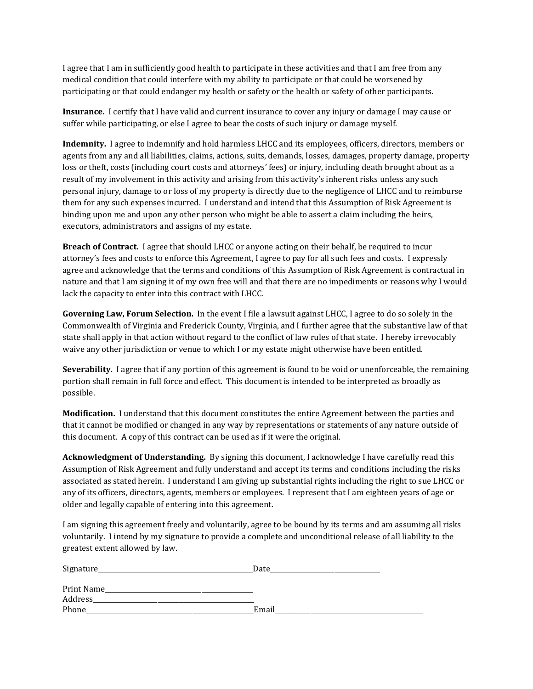I agree that I am in sufficiently good health to participate in these activities and that I am free from any medical condition that could interfere with my ability to participate or that could be worsened by participating or that could endanger my health or safety or the health or safety of other participants.

**Insurance.** I certify that I have valid and current insurance to cover any injury or damage I may cause or suffer while participating, or else I agree to bear the costs of such injury or damage myself.

**Indemnity.** I agree to indemnify and hold harmless LHCC and its employees, officers, directors, members or agents from any and all liabilities, claims, actions, suits, demands, losses, damages, property damage, property loss or theft, costs (including court costs and attorneys' fees) or injury, including death brought about as a result of my involvement in this activity and arising from this activity's inherent risks unless any such personal injury, damage to or loss of my property is directly due to the negligence of LHCC and to reimburse them for any such expenses incurred. I understand and intend that this Assumption of Risk Agreement is binding upon me and upon any other person who might be able to assert a claim including the heirs, executors, administrators and assigns of my estate.

**Breach of Contract.** I agree that should LHCC or anyone acting on their behalf, be required to incur attorney's fees and costs to enforce this Agreement, I agree to pay for all such fees and costs. I expressly agree and acknowledge that the terms and conditions of this Assumption of Risk Agreement is contractual in nature and that I am signing it of my own free will and that there are no impediments or reasons why I would lack the capacity to enter into this contract with LHCC.

**Governing Law, Forum Selection.** In the event I file a lawsuit against LHCC, I agree to do so solely in the Commonwealth of Virginia and Frederick County, Virginia, and I further agree that the substantive law of that state shall apply in that action without regard to the conflict of law rules of that state. I hereby irrevocably waive any other jurisdiction or venue to which I or my estate might otherwise have been entitled.

**Severability.** I agree that if any portion of this agreement is found to be void or unenforceable, the remaining portion shall remain in full force and effect. This document is intended to be interpreted as broadly as possible.

**Modification.** I understand that this document constitutes the entire Agreement between the parties and that it cannot be modified or changed in any way by representations or statements of any nature outside of this document. A copy of this contract can be used as if it were the original.

**Acknowledgment of Understanding.** By signing this document, I acknowledge I have carefully read this Assumption of Risk Agreement and fully understand and accept its terms and conditions including the risks associated as stated herein. I understand I am giving up substantial rights including the right to sue LHCC or any of its officers, directors, agents, members or employees. I represent that I am eighteen years of age or older and legally capable of entering into this agreement.

I am signing this agreement freely and voluntarily, agree to be bound by its terms and am assuming all risks voluntarily. I intend by my signature to provide a complete and unconditional release of all liability to the greatest extent allowed by law.

| Signature_ | Date  |
|------------|-------|
| Print Name |       |
| Address    |       |
| Phone      | Email |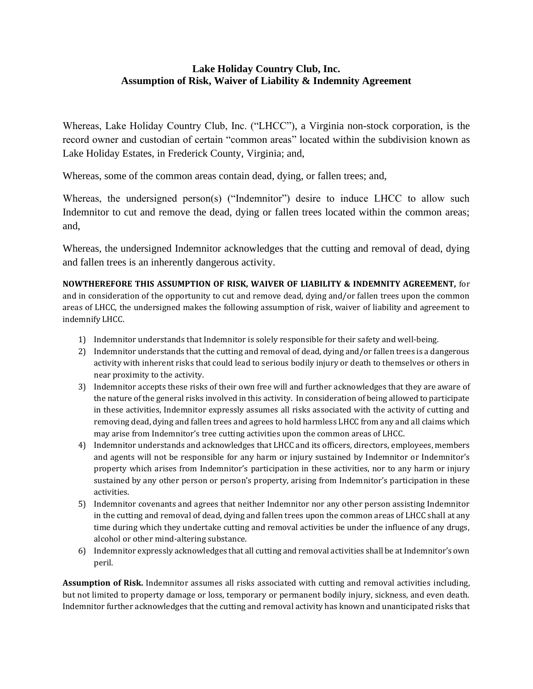#### **Lake Holiday Country Club, Inc. Assumption of Risk, Waiver of Liability & Indemnity Agreement**

Whereas, Lake Holiday Country Club, Inc. ("LHCC"), a Virginia non-stock corporation, is the record owner and custodian of certain "common areas" located within the subdivision known as Lake Holiday Estates, in Frederick County, Virginia; and,

Whereas, some of the common areas contain dead, dying, or fallen trees; and,

Whereas, the undersigned person(s) ("Indemnitor") desire to induce LHCC to allow such Indemnitor to cut and remove the dead, dying or fallen trees located within the common areas; and,

Whereas, the undersigned Indemnitor acknowledges that the cutting and removal of dead, dying and fallen trees is an inherently dangerous activity.

**NOWTHEREFORE THIS ASSUMPTION OF RISK, WAIVER OF LIABILITY & INDEMNITY AGREEMENT,** for and in consideration of the opportunity to cut and remove dead, dying and/or fallen trees upon the common areas of LHCC, the undersigned makes the following assumption of risk, waiver of liability and agreement to indemnify LHCC.

- 1) Indemnitor understands that Indemnitor is solely responsible for their safety and well-being.
- 2) Indemnitor understands that the cutting and removal of dead, dying and/or fallen trees is a dangerous activity with inherent risks that could lead to serious bodily injury or death to themselves or others in near proximity to the activity.
- 3) Indemnitor accepts these risks of their own free will and further acknowledges that they are aware of the nature of the general risks involved in this activity. In consideration of being allowed to participate in these activities, Indemnitor expressly assumes all risks associated with the activity of cutting and removing dead, dying and fallen trees and agrees to hold harmless LHCC from any and all claims which may arise from Indemnitor's tree cutting activities upon the common areas of LHCC.
- 4) Indemnitor understands and acknowledges that LHCC and its officers, directors, employees, members and agents will not be responsible for any harm or injury sustained by Indemnitor or Indemnitor's property which arises from Indemnitor's participation in these activities, nor to any harm or injury sustained by any other person or person's property, arising from Indemnitor's participation in these activities.
- 5) Indemnitor covenants and agrees that neither Indemnitor nor any other person assisting Indemnitor in the cutting and removal of dead, dying and fallen trees upon the common areas of LHCC shall at any time during which they undertake cutting and removal activities be under the influence of any drugs, alcohol or other mind-altering substance.
- 6) Indemnitor expressly acknowledges that all cutting and removal activities shall be at Indemnitor's own peril.

**Assumption of Risk.** Indemnitor assumes all risks associated with cutting and removal activities including, but not limited to property damage or loss, temporary or permanent bodily injury, sickness, and even death. Indemnitor further acknowledges that the cutting and removal activity has known and unanticipated risks that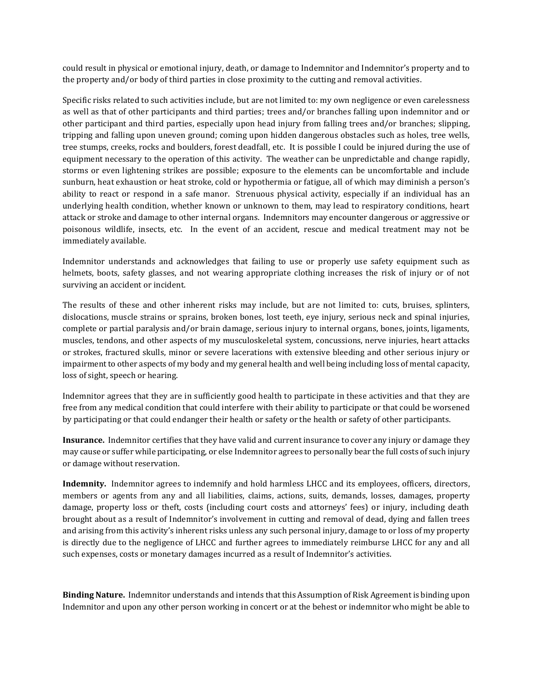could result in physical or emotional injury, death, or damage to Indemnitor and Indemnitor's property and to the property and/or body of third parties in close proximity to the cutting and removal activities.

Specific risks related to such activities include, but are not limited to: my own negligence or even carelessness as well as that of other participants and third parties; trees and/or branches falling upon indemnitor and or other participant and third parties, especially upon head injury from falling trees and/or branches; slipping, tripping and falling upon uneven ground; coming upon hidden dangerous obstacles such as holes, tree wells, tree stumps, creeks, rocks and boulders, forest deadfall, etc. It is possible I could be injured during the use of equipment necessary to the operation of this activity. The weather can be unpredictable and change rapidly, storms or even lightening strikes are possible; exposure to the elements can be uncomfortable and include sunburn, heat exhaustion or heat stroke, cold or hypothermia or fatigue, all of which may diminish a person's ability to react or respond in a safe manor. Strenuous physical activity, especially if an individual has an underlying health condition, whether known or unknown to them, may lead to respiratory conditions, heart attack or stroke and damage to other internal organs. Indemnitors may encounter dangerous or aggressive or poisonous wildlife, insects, etc. In the event of an accident, rescue and medical treatment may not be immediately available.

Indemnitor understands and acknowledges that failing to use or properly use safety equipment such as helmets, boots, safety glasses, and not wearing appropriate clothing increases the risk of injury or of not surviving an accident or incident.

The results of these and other inherent risks may include, but are not limited to: cuts, bruises, splinters, dislocations, muscle strains or sprains, broken bones, lost teeth, eye injury, serious neck and spinal injuries, complete or partial paralysis and/or brain damage, serious injury to internal organs, bones, joints, ligaments, muscles, tendons, and other aspects of my musculoskeletal system, concussions, nerve injuries, heart attacks or strokes, fractured skulls, minor or severe lacerations with extensive bleeding and other serious injury or impairment to other aspects of my body and my general health and well being including loss of mental capacity, loss of sight, speech or hearing.

Indemnitor agrees that they are in sufficiently good health to participate in these activities and that they are free from any medical condition that could interfere with their ability to participate or that could be worsened by participating or that could endanger their health or safety or the health or safety of other participants.

**Insurance.** Indemnitor certifies that they have valid and current insurance to cover any injury or damage they may cause or suffer while participating, or else Indemnitor agrees to personally bear the full costs of such injury or damage without reservation.

**Indemnity.** Indemnitor agrees to indemnify and hold harmless LHCC and its employees, officers, directors, members or agents from any and all liabilities, claims, actions, suits, demands, losses, damages, property damage, property loss or theft, costs (including court costs and attorneys' fees) or injury, including death brought about as a result of Indemnitor's involvement in cutting and removal of dead, dying and fallen trees and arising from this activity's inherent risks unless any such personal injury, damage to or loss of my property is directly due to the negligence of LHCC and further agrees to immediately reimburse LHCC for any and all such expenses, costs or monetary damages incurred as a result of Indemnitor's activities.

**Binding Nature.** Indemnitor understands and intends that this Assumption of Risk Agreement is binding upon Indemnitor and upon any other person working in concert or at the behest or indemnitor who might be able to